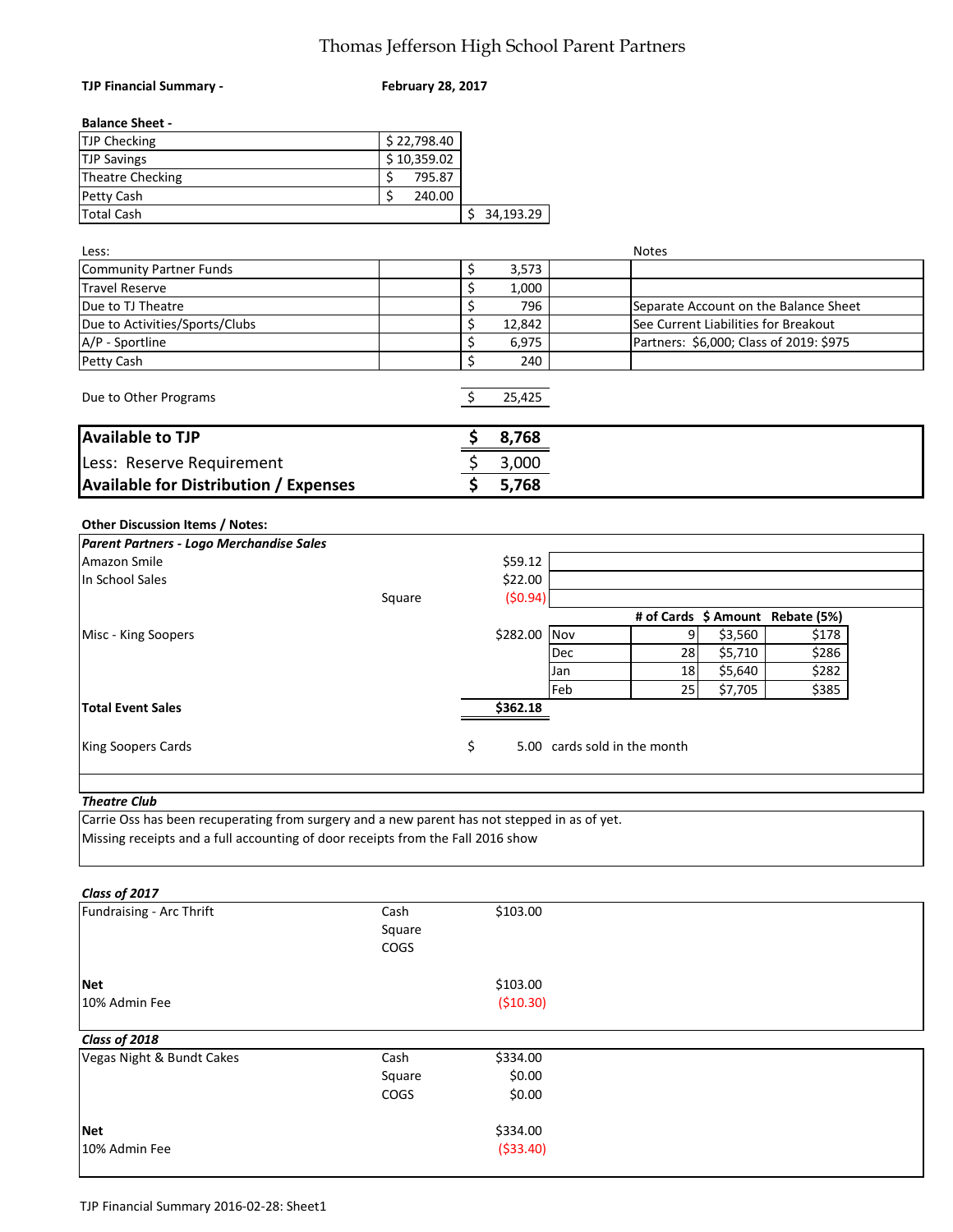#### Thomas Jefferson High School Parent Partners

| <b>TJP Financial Summary -</b>                                                                                                                                                  | <b>February 28, 2017</b> |              |                              |                                      |         |                                         |
|---------------------------------------------------------------------------------------------------------------------------------------------------------------------------------|--------------------------|--------------|------------------------------|--------------------------------------|---------|-----------------------------------------|
| <b>Balance Sheet -</b>                                                                                                                                                          |                          |              |                              |                                      |         |                                         |
| TJP Checking                                                                                                                                                                    | \$22,798.40              |              |                              |                                      |         |                                         |
| <b>TJP Savings</b>                                                                                                                                                              | \$10,359.02              |              |                              |                                      |         |                                         |
| <b>Theatre Checking</b>                                                                                                                                                         | \$<br>795.87             |              |                              |                                      |         |                                         |
| Petty Cash                                                                                                                                                                      | \$<br>240.00             |              |                              |                                      |         |                                         |
| <b>Total Cash</b>                                                                                                                                                               |                          | \$34,193.29  |                              |                                      |         |                                         |
|                                                                                                                                                                                 |                          |              |                              |                                      |         |                                         |
| Less:                                                                                                                                                                           |                          |              |                              | <b>Notes</b>                         |         |                                         |
| Community Partner Funds                                                                                                                                                         |                          | \$<br>3,573  |                              |                                      |         |                                         |
| <b>Travel Reserve</b>                                                                                                                                                           |                          | \$<br>1,000  |                              |                                      |         |                                         |
| Due to TJ Theatre                                                                                                                                                               |                          | \$<br>796    |                              |                                      |         | Separate Account on the Balance Sheet   |
| Due to Activities/Sports/Clubs                                                                                                                                                  |                          | \$<br>12,842 |                              | See Current Liabilities for Breakout |         |                                         |
| A/P - Sportline                                                                                                                                                                 |                          | \$<br>6,975  |                              |                                      |         | Partners: \$6,000; Class of 2019: \$975 |
| Petty Cash                                                                                                                                                                      |                          | \$<br>240    |                              |                                      |         |                                         |
|                                                                                                                                                                                 |                          |              |                              |                                      |         |                                         |
| Due to Other Programs                                                                                                                                                           |                          | \$<br>25,425 |                              |                                      |         |                                         |
| <b>Available to TJP</b>                                                                                                                                                         |                          | \$<br>8,768  |                              |                                      |         |                                         |
| Less: Reserve Requirement                                                                                                                                                       |                          | \$<br>3,000  |                              |                                      |         |                                         |
| <b>Available for Distribution / Expenses</b>                                                                                                                                    |                          | \$<br>5,768  |                              |                                      |         |                                         |
|                                                                                                                                                                                 |                          |              |                              |                                      |         |                                         |
| Other Discussion Items / Notes:                                                                                                                                                 |                          |              |                              |                                      |         |                                         |
| Parent Partners - Logo Merchandise Sales                                                                                                                                        |                          |              |                              |                                      |         |                                         |
| Amazon Smile                                                                                                                                                                    |                          | \$59.12      |                              |                                      |         |                                         |
| In School Sales                                                                                                                                                                 |                          | \$22.00      |                              |                                      |         |                                         |
|                                                                                                                                                                                 | Square                   | (50.94)      |                              |                                      |         |                                         |
|                                                                                                                                                                                 |                          |              |                              | # of Cards \$ Amount Rebate (5%)     |         |                                         |
| Misc - King Soopers                                                                                                                                                             |                          | \$282.00 Nov |                              | 9                                    | \$3,560 | \$178                                   |
|                                                                                                                                                                                 |                          |              | Dec                          | 28                                   | \$5,710 | \$286                                   |
|                                                                                                                                                                                 |                          |              | Jan                          | 18                                   | \$5,640 | \$282                                   |
|                                                                                                                                                                                 |                          |              | Feb                          | 25                                   | \$7,705 | \$385                                   |
| <b>Total Event Sales</b>                                                                                                                                                        |                          | \$362.18     |                              |                                      |         |                                         |
| King Soopers Cards                                                                                                                                                              |                          | \$           | 5.00 cards sold in the month |                                      |         |                                         |
|                                                                                                                                                                                 |                          |              |                              |                                      |         |                                         |
| <b>Theatre Club</b>                                                                                                                                                             |                          |              |                              |                                      |         |                                         |
| Carrie Oss has been recuperating from surgery and a new parent has not stepped in as of yet.<br>Missing receipts and a full accounting of door receipts from the Fall 2016 show |                          |              |                              |                                      |         |                                         |
| Class of 2017                                                                                                                                                                   |                          |              |                              |                                      |         |                                         |
| Fundraising - Arc Thrift                                                                                                                                                        | Cash                     | \$103.00     |                              |                                      |         |                                         |
|                                                                                                                                                                                 | Square                   |              |                              |                                      |         |                                         |
|                                                                                                                                                                                 | COGS                     |              |                              |                                      |         |                                         |
|                                                                                                                                                                                 |                          |              |                              |                                      |         |                                         |
| <b>Net</b>                                                                                                                                                                      |                          | \$103.00     |                              |                                      |         |                                         |
| 10% Admin Fee                                                                                                                                                                   |                          | ( \$10.30)   |                              |                                      |         |                                         |
| Class of 2018                                                                                                                                                                   |                          |              |                              |                                      |         |                                         |
| Vegas Night & Bundt Cakes                                                                                                                                                       | Cash                     | \$334.00     |                              |                                      |         |                                         |
|                                                                                                                                                                                 | Square                   | \$0.00       |                              |                                      |         |                                         |
|                                                                                                                                                                                 | COGS                     | \$0.00       |                              |                                      |         |                                         |
|                                                                                                                                                                                 |                          |              |                              |                                      |         |                                         |
| <b>Net</b>                                                                                                                                                                      |                          | \$334.00     |                              |                                      |         |                                         |

TJP Financial Summary 2016-02-28: Sheet1

10% Admin Fee (\$33.40)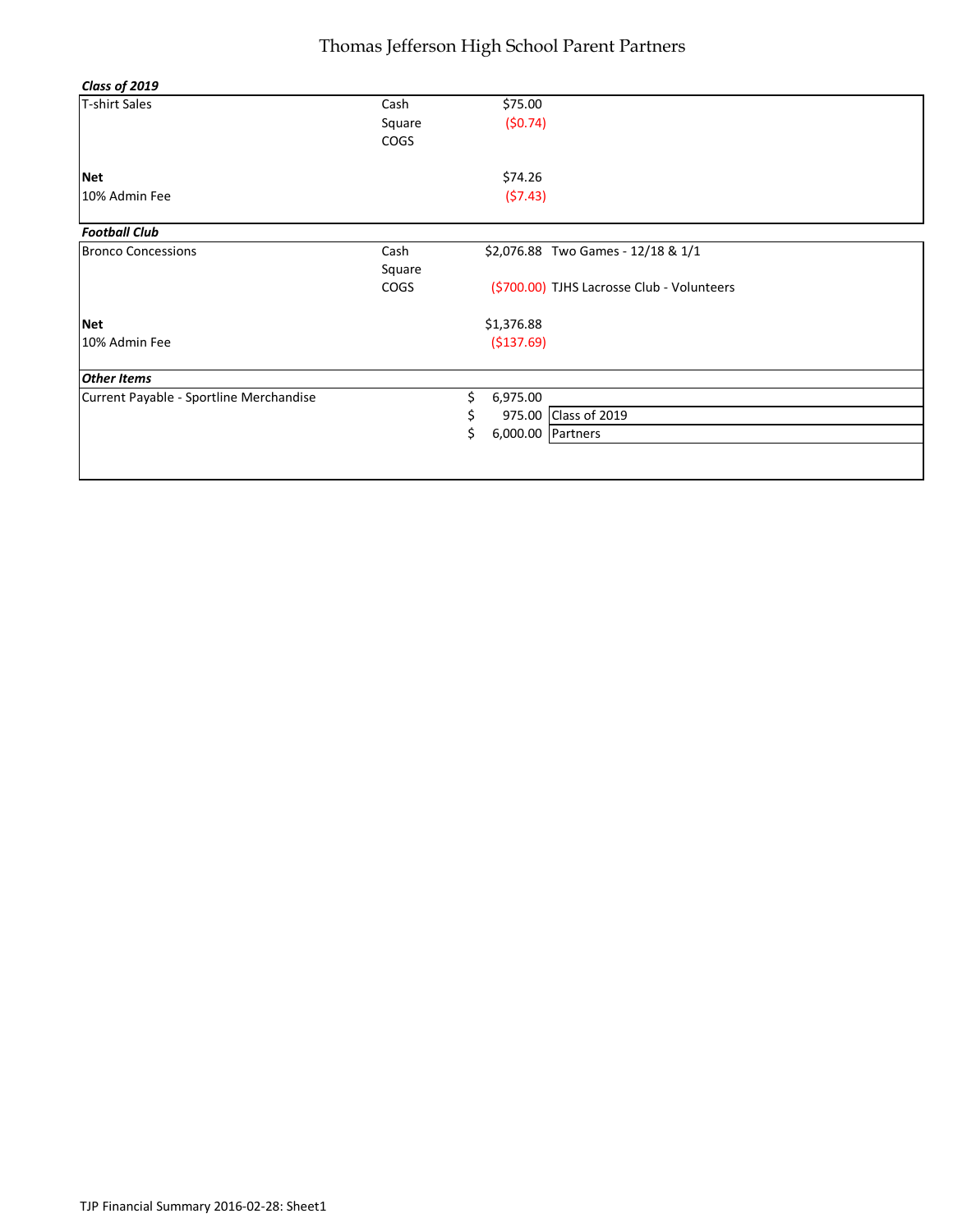#### Thomas Jefferson High School Parent Partners

| Class of 2019                           |                               |    |                    |                                                                                  |
|-----------------------------------------|-------------------------------|----|--------------------|----------------------------------------------------------------------------------|
| <b>T-shirt Sales</b>                    | Cash<br>Square<br><b>COGS</b> |    | \$75.00<br>(50.74) |                                                                                  |
| <b>Net</b>                              |                               |    | \$74.26            |                                                                                  |
| 10% Admin Fee                           |                               |    | (57.43)            |                                                                                  |
| <b>Football Club</b>                    |                               |    |                    |                                                                                  |
| <b>Bronco Concessions</b>               | Cash<br>Square<br><b>COGS</b> |    |                    | \$2,076.88 Two Games - 12/18 & 1/1<br>(\$700.00) TJHS Lacrosse Club - Volunteers |
| <b>Net</b>                              |                               |    | \$1,376.88         |                                                                                  |
| 10% Admin Fee                           |                               |    | ( \$137.69)        |                                                                                  |
| <b>Other Items</b>                      |                               |    |                    |                                                                                  |
| Current Payable - Sportline Merchandise |                               | \$ | 6,975.00           |                                                                                  |
|                                         |                               | \$ |                    | 975.00 Class of 2019                                                             |
|                                         |                               | Ś. | 6,000.00 Partners  |                                                                                  |
|                                         |                               |    |                    |                                                                                  |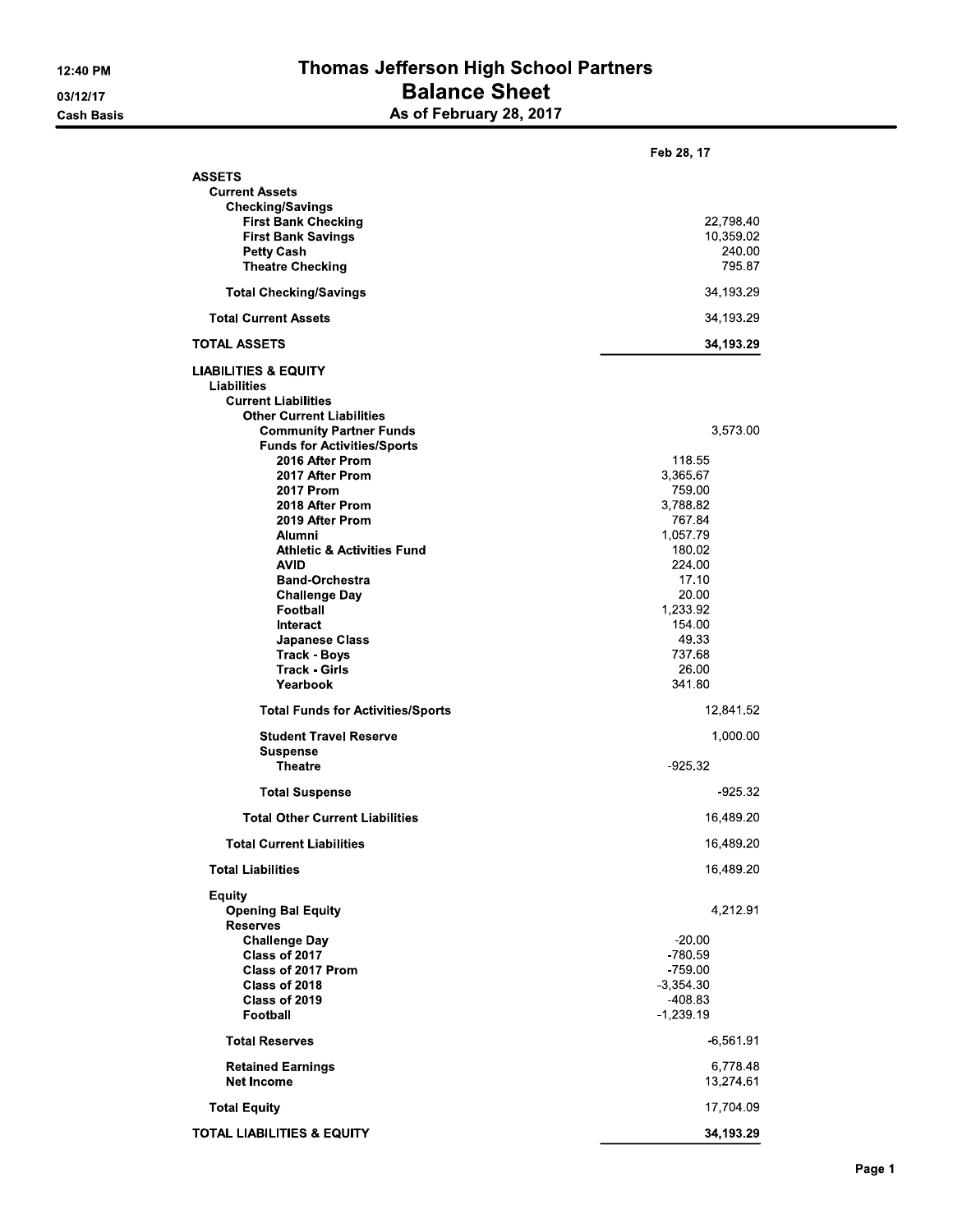#### Thomas Jefferson High School Partners **Balance Sheet** As of February 28, 2017

|                                                                                                                                                                                                                                                                                          | Feb 28, 17                                                                                                 |
|------------------------------------------------------------------------------------------------------------------------------------------------------------------------------------------------------------------------------------------------------------------------------------------|------------------------------------------------------------------------------------------------------------|
| <b>ASSETS</b><br><b>Current Assets</b><br><b>Checking/Savings</b><br><b>First Bank Checking</b><br><b>First Bank Savings</b><br><b>Petty Cash</b><br><b>Theatre Checking</b>                                                                                                             | 22,798.40<br>10,359 02<br>240.00<br>795 87                                                                 |
| <b>Total Checking/Savings</b>                                                                                                                                                                                                                                                            | 34,193.29                                                                                                  |
| <b>Total Current Assets</b>                                                                                                                                                                                                                                                              | 34,193.29                                                                                                  |
| <b>TOTAL ASSETS</b>                                                                                                                                                                                                                                                                      | 34,193.29                                                                                                  |
| <b>LIABILITIES &amp; EQUITY</b><br>Liabilities<br><b>Current Liabilities</b><br><b>Other Current Liabilities</b><br><b>Community Partner Funds</b><br><b>Funds for Activities/Sports</b><br>2016 After Prom<br>2017 After Prom<br><b>2017 Prom</b><br>2018 After Prom<br>2019 After Prom | 3,573.00<br>118 55<br>3,365.67<br>759.00<br>3.788.82<br>767 84                                             |
| Alumni<br><b>Athletic &amp; Activities Fund</b><br><b>AVID</b><br><b>Band Orchestra</b><br><b>Challenge Day</b><br>Football<br>Interact<br>Japanese Class<br><b>Track Boys</b><br>Track Girls<br>Yearbook                                                                                | 1,057.79<br>180.02<br>224.00<br>17.10<br>20.00<br>1,233.92<br>154.00<br>49.33<br>737.68<br>26.00<br>341 80 |
| <b>Total Funds for Activities/Sports</b>                                                                                                                                                                                                                                                 | 12,841.52                                                                                                  |
| <b>Student Travel Reserve</b><br><b>Suspense</b><br><b>Theatre</b>                                                                                                                                                                                                                       | 1,000.00<br>925 32                                                                                         |
| <b>Total Suspense</b>                                                                                                                                                                                                                                                                    | -925.32                                                                                                    |
| <b>Total Other Current Liabilities</b>                                                                                                                                                                                                                                                   | 16,489.20                                                                                                  |
| <b>Total Current Liabilities</b>                                                                                                                                                                                                                                                         | 16,489.20                                                                                                  |
| <b>Total Liabilities</b>                                                                                                                                                                                                                                                                 | 16,489.20                                                                                                  |
| <b>Equity</b><br><b>Opening Bal Equity</b><br><b>Reserves</b><br><b>Challenge Day</b><br>Class of 2017<br>Class of 2017 Prom<br>Class of 2018<br>Class of 2019<br>Football                                                                                                               | 4,212.91<br>$-20.00$<br>780 59<br>759.00<br>$-3,354,30$<br>-408.83<br>$-1,239.19$                          |
| <b>Total Reserves</b>                                                                                                                                                                                                                                                                    | $-6,561.91$                                                                                                |
| <b>Retained Earnings</b><br><b>Net Income</b>                                                                                                                                                                                                                                            | 6,778.48<br>13,274 61                                                                                      |
| <b>Total Equity</b>                                                                                                                                                                                                                                                                      | 17,704 09                                                                                                  |
| <b>TOTAL LIABILITIES &amp; EQUITY</b>                                                                                                                                                                                                                                                    | 34,193.29                                                                                                  |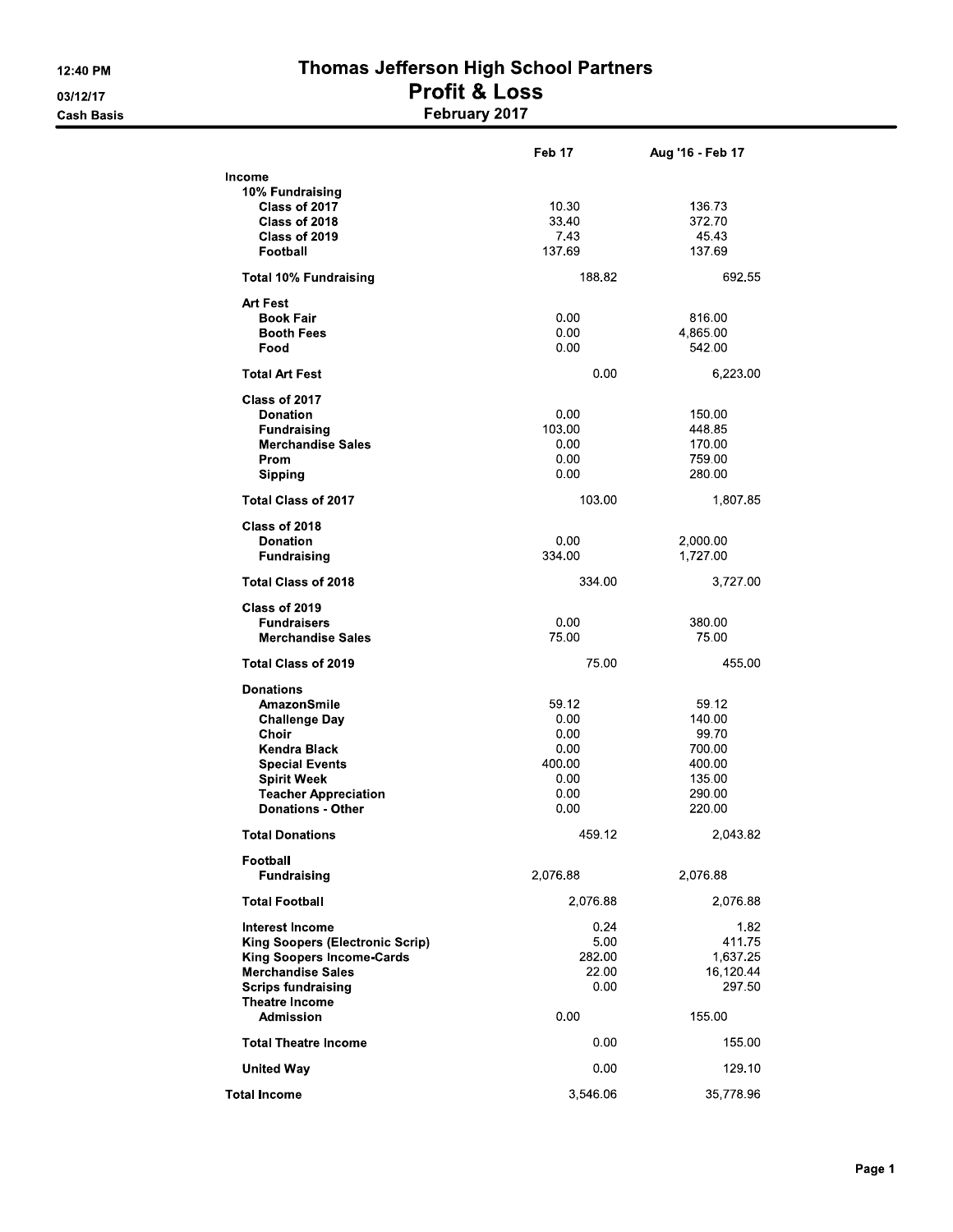# Thomas Jefferson High School Partners **Profit & Loss**<br>February 2017

|                                        | Feb 17   | Aug '16 Feb 17 |
|----------------------------------------|----------|----------------|
| Income                                 |          |                |
| 10% Fundraising                        |          |                |
| Class of 2017                          | 10.30    | 136.73         |
| Class of 2018                          | 33.40    | 37270          |
| Class of 2019                          | 743      | 45.43          |
| Football                               | 137.69   | 137.69         |
| <b>Total 10% Fundraising</b>           | 188 82   | 692.55         |
| <b>Art Fest</b>                        |          |                |
| <b>Book Fair</b>                       | 0.00     | 816.00         |
| <b>Booth Fees</b>                      | 0.00     | 4,865.00       |
| Food                                   | 0.00     | 542.00         |
| <b>Total Art Fest</b>                  | 0.00     | 6,223.00       |
| Class of 2017                          |          |                |
| <b>Donation</b>                        | 0.00     | 150.00         |
| <b>Fundraising</b>                     | 103.00   | 448.85         |
| <b>Merchandise Sales</b>               | 0.00     | 170.00         |
| Prom                                   | 0.00     | 759.00         |
| <b>Sipping</b>                         | 0.00     | 280.00         |
| <b>Total Class of 2017</b>             | 103.00   | 1,807.85       |
| Class of 2018                          |          |                |
| <b>Donation</b>                        | 0.00     | 2,000.00       |
| <b>Fundraising</b>                     | 334 00   | 1,727.00       |
| <b>Total Class of 2018</b>             | 334.00   | 3,727.00       |
| Class of 2019                          |          |                |
| <b>Fundraisers</b>                     | 0.00     | 380,00         |
| <b>Merchandise Sales</b>               | 75.00    | 75.00          |
| <b>Total Class of 2019</b>             | 75.00    | 455.00         |
| <b>Donations</b>                       |          |                |
| AmazonSmile                            | 59.12    | 59.12          |
| <b>Challenge Day</b>                   | 0.00     | 140.00         |
| Choir                                  | 0.00     | 99.70          |
| Kendra Black                           | 0.00     | 700.00         |
| <b>Special Events</b>                  | 400.00   | 400.00         |
| <b>Spirit Week</b>                     | 0.00     | 135.00         |
| <b>Teacher Appreciation</b>            | 0.00     | 290.00         |
| <b>Donations - Other</b>               | 0.00     | 220.00         |
| <b>Total Donations</b>                 | 459.12   | 2,043.82       |
| Football                               |          |                |
| <b>Fundraising</b>                     | 2,076.88 | 2,076.88       |
| <b>Total Football</b>                  | 2,076.88 | 2,076.88       |
| Interest Income                        | 0.24     | 182            |
| <b>King Soopers (Electronic Scrip)</b> | 5.00     | 411.75         |
| <b>King Soopers Income-Cards</b>       | 282.00   | 1,637.25       |
| <b>Merchandise Sales</b>               | 22.00    | 16,120.44      |
| <b>Scrips fundraising</b>              | 0.00     | 297.50         |
| <b>Theatre Income</b>                  |          |                |
| <b>Admission</b>                       | 0.00     | 155.00         |
| <b>Total Theatre Income</b>            | 0.00     | 155.00         |
| <b>United Way</b>                      | 0.00     | 129 10         |
| <b>Total Income</b>                    | 3,546.06 | 35,778.96      |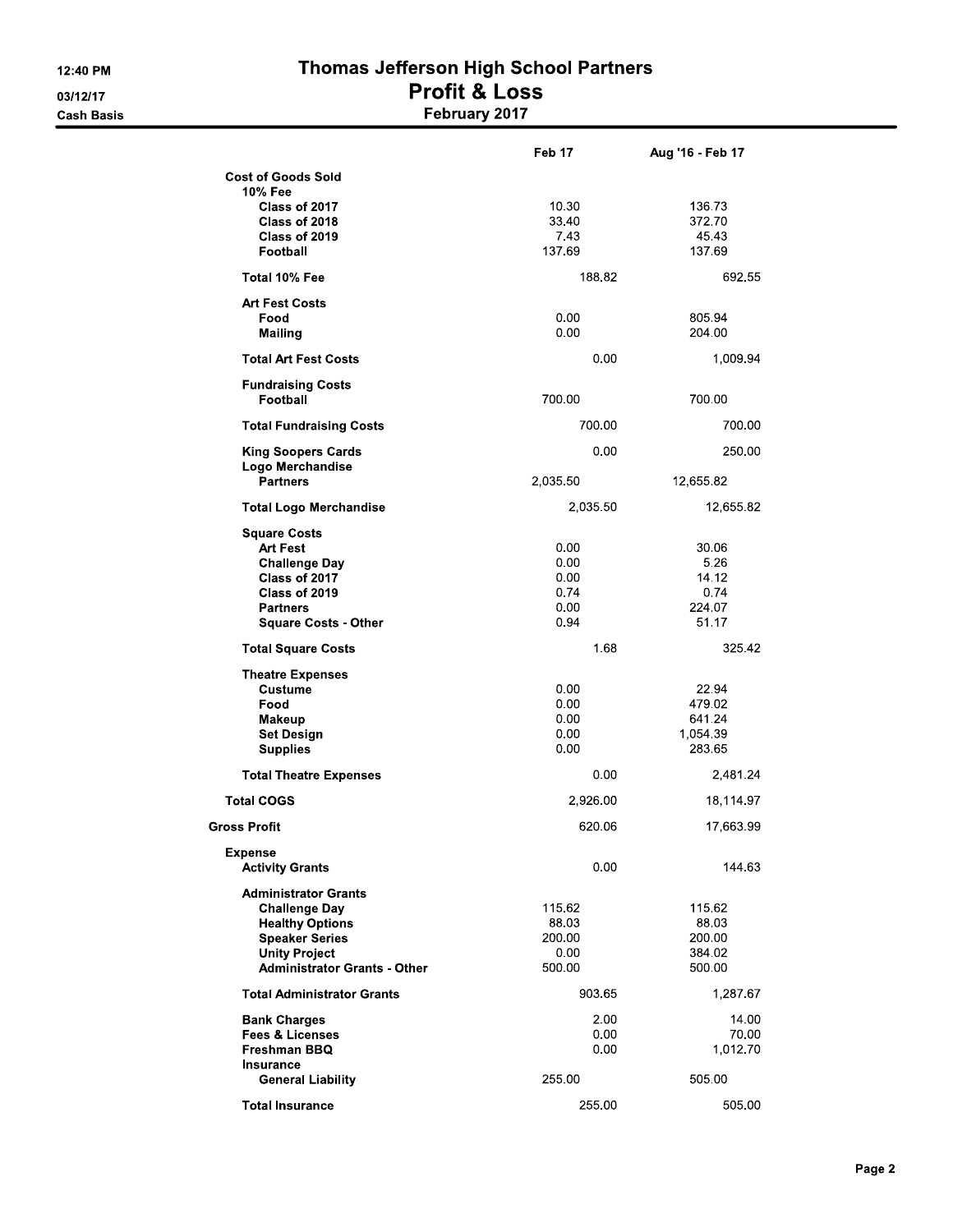# Thomas Jefferson High School Partners **Profit & Loss**<br>February 2017

|                                          | Feb 17        | Aug '16 - Feb 17 |
|------------------------------------------|---------------|------------------|
| <b>Cost of Goods Sold</b>                |               |                  |
| 10% Fee                                  |               |                  |
| Class of 2017                            | 10 30         | 136 73<br>372.70 |
| Class of 2018<br>Class of 2019           | 33 40<br>7.43 | 45.43            |
| Football                                 | 137 69        | 137.69           |
|                                          |               |                  |
| Total 10% Fee                            | 188.82        | 692 55           |
| <b>Art Fest Costs</b>                    |               |                  |
| Food                                     | 0.00          | 805.94           |
| <b>Mailing</b>                           | 0.00          | 204.00           |
| <b>Total Art Fest Costs</b>              | 0.00          | 1,009.94         |
| <b>Fundraising Costs</b>                 |               |                  |
| Football                                 | 700.00        | 700.00           |
| <b>Total Fundraising Costs</b>           | 700.00        | 700.00           |
| <b>King Soopers Cards</b>                | 0.00          | 250.00           |
| Logo Merchandise                         |               |                  |
| <b>Partners</b>                          | 2,035.50      | 12,655.82        |
| <b>Total Logo Merchandise</b>            | 2,035.50      | 12,655.82        |
| <b>Square Costs</b>                      |               |                  |
| <b>Art Fest</b>                          | 0.00          | 30.06            |
| <b>Challenge Day</b>                     | 0.00          | 5.26             |
| Class of 2017                            | 0.00          | 14 12            |
| Class of 2019                            | 0.74          | 0.74             |
| <b>Partners</b>                          | 0.00          | 224.07           |
| <b>Square Costs - Other</b>              | 0.94          | 51.17            |
| <b>Total Square Costs</b>                | 1.68          | 325.42           |
| <b>Theatre Expenses</b>                  |               |                  |
| <b>Custume</b>                           | 0.00          | 22.94            |
| Food                                     | 0.00          | 479.02           |
| Makeup                                   | 0.00          | 641.24           |
| <b>Set Design</b>                        | 0.00          | 1,054.39         |
| <b>Supplies</b>                          | 0.00          | 283.65           |
| <b>Total Theatre Expenses</b>            | 0.00          | 2,481.24         |
| <b>Total COGS</b>                        | 2,926.00      | 18,114.97        |
| <b>Gross Profit</b>                      | 620.06        | 17,663.99        |
| <b>Expense</b><br><b>Activity Grants</b> | 0.00          | 144.63           |
|                                          |               |                  |
| <b>Administrator Grants</b>              |               |                  |
| <b>Challenge Dav</b>                     | 115 62        | 115.62           |
| <b>Healthy Options</b>                   | 88.03         | 88.03            |
| <b>Speaker Series</b>                    | 200 00        | 200.00           |
| <b>Unity Project</b>                     | 0.00          | 384.02           |
| <b>Administrator Grants - Other</b>      | 500.00        | 500.00           |
| <b>Total Administrator Grants</b>        | 903.65        | 1,287.67         |
| <b>Bank Charges</b>                      | 2.00          | 14.00            |
| <b>Fees &amp; Licenses</b>               | 0.00          | 70.00            |
| Freshman BBQ                             | 0.00          | 1,012.70         |
| Insurance                                |               |                  |
| <b>General Liability</b>                 | 255.00        | 505.00           |
| <b>Total Insurance</b>                   | 255.00        | 505.00           |